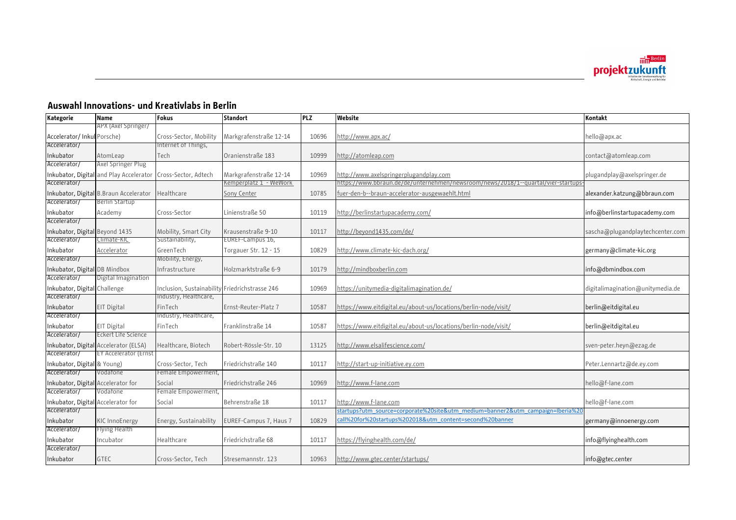

## **Auswahl Innovations- und Kreativlabs in Berlin**

| Kategorie                          | <b>Name</b>                             | Fokus                                          | <b>Standort</b>        | <b>PLZ</b> | Website                                                                          | Kontakt                          |
|------------------------------------|-----------------------------------------|------------------------------------------------|------------------------|------------|----------------------------------------------------------------------------------|----------------------------------|
|                                    | APX (Axel Springer/                     |                                                |                        |            |                                                                                  |                                  |
| Accelerator/Inkul Porsche)         |                                         | Cross-Sector, Mobility                         | Markgrafenstraße 12-14 | 10696      | http://www.apx.ac/                                                               | hello@apx.ac                     |
| Accelerator/                       |                                         | nternet of Things,                             |                        |            |                                                                                  |                                  |
| Inkubator                          | AtomLeap                                | Tech                                           | Oranienstraße 183      | 10999      | http://atomleap.com                                                              | contact@atomleap.com             |
| Accelerator/                       | Axel Springer Plug                      |                                                |                        |            |                                                                                  |                                  |
|                                    | Inkubator, Digital and Play Accelerator | Cross-Sector, Adtech                           | Markgrafenstraße 12-14 | 10969      | http://www.axelspringerplugandplay.com                                           | plugandplay@axelspringer.de      |
| Accelerator/                       |                                         |                                                | Kemperplatz 1 - WeWork |            | nttps://www.bbraun.de/de/unternehmen/newsroom/news/2018/1--quartal/vier-startups |                                  |
|                                    | Inkubator, Digital B.Braun Accelerator  | Healthcare                                     | Sony Center            | 10785      | fuer-den-b--braun-accelerator-ausgewaehlt.html                                   | alexander.katzung@bbraun.com     |
| Accelerator/                       | Berlin Startup                          |                                                |                        |            |                                                                                  |                                  |
| Inkubator                          | Academy                                 | Cross-Sector                                   | Linienstraße 50        | 10119      | http://berlinstartupacademy.com/                                                 | info@berlinstartupacademy.com    |
| Accelerator/                       |                                         |                                                |                        |            |                                                                                  |                                  |
| Inkubator, Digital Beyond 1435     |                                         | Mobility, Smart City                           | Krausenstraße 9-10     | 10117      | http://beyond1435.com/de/                                                        | sascha@plugandplaytechcenter.com |
| Accelerator/                       | Climate-KIC                             | Sustainability,                                | EUREF-Campus 16,       |            |                                                                                  |                                  |
| Inkubator                          | Accelerator                             | GreenTech                                      | Torgauer Str. 12 - 15  | 10829      | http://www.climate-kic-dach.org/                                                 | germany@climate-kic.org          |
| Accelerator/                       |                                         | Mobility, Energy,                              |                        |            |                                                                                  |                                  |
| Inkubator, Digital DB Mindbox      |                                         | Infrastructure                                 | Holzmarktstraße 6-9    | 10179      | http://mindboxberlin.com                                                         | info@dbmindbox.com               |
| Accelerator/                       | Digital Imagination                     |                                                |                        |            |                                                                                  |                                  |
| Inkubator, Digital Challenge       |                                         | Inclusion, Sustainability Friedrichstrasse 246 |                        | 10969      | https://unitymedia-digitalimagination.de/                                        | digitalimagination@unitymedia.de |
| Accelerator/                       |                                         | Industry, Healthcare,                          |                        |            |                                                                                  |                                  |
| Inkubator                          | EIT Digital                             | FinTech                                        | Ernst-Reuter-Platz 7   | 10587      | https://www.eitdigital.eu/about-us/locations/berlin-node/visit/                  | berlin@eitdigital.eu             |
| Accelerator/                       |                                         | Industry, Healthcare,                          |                        |            |                                                                                  |                                  |
| Inkubator                          | EIT Digital                             | FinTech                                        | Franklinstraße 14      | 10587      | https://www.eitdigital.eu/about-us/locations/berlin-node/visit/                  | berlin@eitdigital.eu             |
| Accelerator/                       | Eckert Lite Science                     |                                                |                        |            |                                                                                  |                                  |
|                                    | Inkubator, Digital Accelerator (ELSA)   | Healthcare, Biotech                            | Robert-Rössle-Str. 10  | 13125      | http://www.elsalifescience.com/                                                  | sven-peter.heyn@ezag.de          |
| Accelerator/                       | <b>EY Accelerator (Ernst</b>            |                                                |                        |            |                                                                                  |                                  |
| Inkubator, Digital & Young)        |                                         | Cross-Sector, Tech                             | Friedrichstraße 140    | 10117      | http://start-up-initiative.ey.com                                                | Peter.Lennartz@de.ey.com         |
| Accelerator/                       | Vodafone                                | Female Empowerment,                            |                        |            |                                                                                  |                                  |
| Inkubator, Digital Accelerator for |                                         | Social                                         | Friedrichstraße 246    | 10969      | http://www.f-lane.com                                                            | hello@f-lane.com                 |
| Accelerator/                       | Vodatone                                | Female Empowerment,                            |                        |            |                                                                                  |                                  |
| Inkubator, Digital Accelerator for |                                         | Social                                         | Behrenstraße 18        | 10117      | http://www.f-lane.com                                                            | hello@f-lane.com                 |
| Accelerator/                       |                                         |                                                |                        |            | startups?utm_source=corporate%20site&utm_medium=banner2&utm_campaign=Iberia%20   |                                  |
| Inkubator                          | <b>KIC InnoEnergy</b>                   | Energy, Sustainability                         | EUREF-Campus 7, Haus 7 | 10829      | call%20for%20startups%202018&utm content=second%20banner                         | germany@innoenergy.com           |
| Accelerator/                       | Flying Health                           |                                                |                        |            |                                                                                  |                                  |
| Inkubator                          | Incubator                               | Healthcare                                     | Friedrichstraße 68     | 10117      | https://flyinghealth.com/de/                                                     | info@flyinghealth.com            |
| Accelerator/                       |                                         |                                                |                        |            |                                                                                  |                                  |
| Inkubator                          | <b>GTEC</b>                             | Cross-Sector, Tech                             | Stresemannstr, 123     | 10963      | http://www.gtec.center/startups/                                                 | info@gtec.center                 |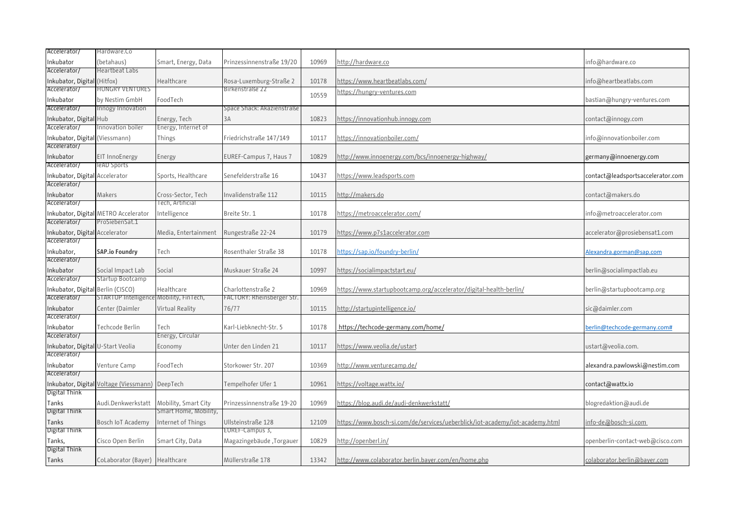| Accelerator/                                   | Hardware.Co                                    |                       |                                       |       |                                                                              |                                   |
|------------------------------------------------|------------------------------------------------|-----------------------|---------------------------------------|-------|------------------------------------------------------------------------------|-----------------------------------|
| Inkubator                                      | (betahaus)                                     | Smart, Energy, Data   | Prinzessinnenstraße 19/20             | 10969 | http://hardware.co                                                           | info@hardware.co                  |
| Accelerator/                                   | Heartbeat Labs                                 |                       |                                       |       |                                                                              |                                   |
| nkubator, Digital (Hitfox)                     |                                                | Healthcare            | Rosa-Luxemburg-Straße 2               | 10178 | https://www.heartbeatlabs.com/                                               | info@heartbeatlabs.com            |
| Accelerator/                                   | <b>HUNGRY VENTURES</b>                         |                       | Birkenstraße 22                       |       | nttps://hungry-ventures.com                                                  |                                   |
| nkubator                                       | by Nestim GmbH                                 | FoodTech              |                                       | 10559 |                                                                              | bastian@hungry-ventures.com       |
| Accelerator/                                   | Innogy Innovation                              |                       | Space Shack: Akazienstraße            |       |                                                                              |                                   |
| Inkubator, Digital Hub                         |                                                | Energy, Tech          | 3A                                    | 10823 | https://innovationhub.innogy.com                                             | contact@innogy.com                |
| Accelerator/                                   | nnovation boiler                               | Energy, Internet of   |                                       |       |                                                                              |                                   |
| Inkubator, Digital (Viessmann)                 |                                                | Things                | Friedrichstraße 147/149               | 10117 | https://innovationboiler.com/                                                | info@innovationboiler.com         |
| Accelerator/                                   |                                                |                       |                                       |       |                                                                              |                                   |
| Inkubator                                      | EIT InnoEnergy                                 | Energy                | EUREF-Campus 7, Haus 7                | 10829 | http://www.innoenergy.com/bcs/innoenergy-highway/                            | germany@innoenergy.com            |
| Accelerator/                                   | leAD Sports                                    |                       |                                       |       |                                                                              |                                   |
|                                                |                                                |                       |                                       |       |                                                                              |                                   |
| Inkubator, Digital Accelerator<br>Accelerator/ |                                                | Sports, Healthcare    | Senefelderstraße 16                   | 10437 | https://www.leadsports.com                                                   | contact@leadsportsaccelerator.com |
|                                                |                                                |                       |                                       |       |                                                                              |                                   |
| nkubator                                       | Makers                                         | Cross-Sector, Tech    | Invalidenstraße 112                   | 10115 | http://makers.do                                                             | contact@makers.do                 |
| Accelerator/                                   |                                                | Tech, Artificial      |                                       |       |                                                                              |                                   |
|                                                | Inkubator, Digital METRO Accelerator           | Intelligence          | Breite Str. 1                         | 10178 | https://metroaccelerator.com/                                                | info@metroaccelerator.com         |
| Accelerator/                                   | ProSiebenSat.1                                 |                       |                                       |       |                                                                              |                                   |
| Inkubator, Digital Accelerator                 |                                                | Media, Entertainment  | Rungestraße 22-24                     | 10179 | https://www.p7s1accelerator.com                                              | accelerator@prosiebensat1.com     |
| Accelerator/                                   |                                                |                       |                                       |       |                                                                              |                                   |
| Inkubator,                                     | <b>SAP.io Foundry</b>                          | Tech                  | Rosenthaler Straße 38                 | 10178 | https://sap.io/foundry-berlin/                                               | Alexandra.gorman@sap.com          |
| Accelerator/                                   |                                                |                       |                                       |       |                                                                              |                                   |
| nkubator                                       | Social Impact Lab                              | Social                | Muskauer Straße 24                    | 10997 | https://socialimpactstart.eu/                                                | berlin@socialimpactlab.eu         |
| Accelerator/                                   | Startup Bootcamp                               |                       |                                       |       |                                                                              |                                   |
| nkubator, Digital Berlin (CISCO)               |                                                | Healthcare            | Charlottenstraße 2                    | 10969 | <u> https://www.startupbootcamp.org/accelerator/digital-health-berlin/</u>   | berlin@startupbootcamp.org        |
| Accelerator/                                   | STARTUP Intelligence Mobility, FinTech,        |                       | FACTORY: Rheinsberger Str.            |       |                                                                              |                                   |
| Inkubator                                      | Center (Daimler                                | Virtual Reality       | 76/77                                 | 10115 | http://startupintelligence.io/                                               | sic@daimler.com                   |
| Accelerator/                                   |                                                |                       |                                       |       |                                                                              |                                   |
| nkubator                                       | Techcode Berlin                                | Tech                  | Karl-Liebknecht-Str. 5                | 10178 | https://techcode-germany.com/home/                                           | berlin@techcode-germany.com#      |
| Accelerator/                                   |                                                | Energy, Circular      |                                       |       |                                                                              |                                   |
| Inkubator, Digital U-Start Veolia              |                                                | Economy               | Unter den Linden 21                   | 10117 | https://www.veolia.de/ustart                                                 | ustart@veolia.com.                |
| Accelerator/                                   |                                                |                       |                                       |       |                                                                              |                                   |
| nkubator                                       | Venture Camp                                   | FoodTech              | Storkower Str. 207                    | 10369 | http://www.venturecamp.de/                                                   | alexandra.pawlowski@nestim.com    |
| Accelerator/                                   |                                                |                       |                                       |       |                                                                              |                                   |
|                                                | nkubator, Digital Voltage (Viessmann) DeepTech |                       | Tempelhofer Ufer 1                    | 10961 | https://voltage.wattx.io/                                                    | contact@wattx.io                  |
| Digital Think                                  |                                                |                       |                                       |       |                                                                              |                                   |
| Tanks                                          | Audi.Denkwerkstatt                             | Mobility, Smart City  | Prinzessinnenstraße 19-20             | 10969 | https://blog.audi.de/audi-denkwerkstatt/                                     | blogredaktion@audi.de             |
| Digital Think                                  |                                                | Smart Home, Mobility, |                                       |       |                                                                              |                                   |
|                                                |                                                |                       |                                       |       |                                                                              |                                   |
| Tanks<br>Digital Think                         | Bosch IoT Academy                              | Internet of Things    | Ullsteinstraße 128<br>EUREF-Campus 3, | 12109 | https://www.bosch-si.com/de/services/ueberblick/iot-academy/iot-academy.html | <u>info-de@bosch-si.com</u>       |
|                                                |                                                |                       |                                       |       |                                                                              |                                   |
| Tanks,                                         | Cisco Open Berlin                              | Smart City, Data      | Magazingebäude, Torgauer              | 10829 | http://openberl.in/                                                          | openberlin-contact-web@cisco.com  |
| Digital Think                                  |                                                |                       |                                       |       |                                                                              |                                   |
| Tanks                                          | CoLaborator (Bayer) Healthcare                 |                       | Müllerstraße 178                      | 13342 | http://www.colaborator.berlin.bayer.com/en/home.php                          | colaborator.berlin@bayer.com      |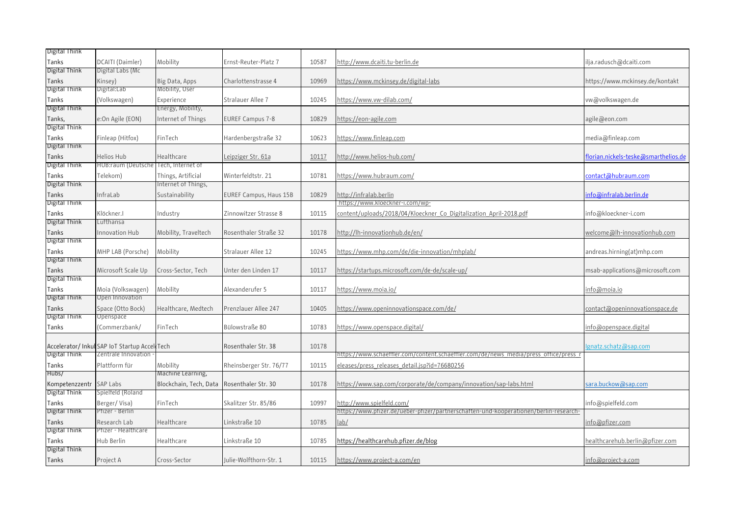| Digital Think          |                                              |                        |                         |       |                                                                                       |                                      |
|------------------------|----------------------------------------------|------------------------|-------------------------|-------|---------------------------------------------------------------------------------------|--------------------------------------|
| Tanks                  | DCAITI (Daimler)                             | Mobility               | Ernst-Reuter-Platz 7    | 10587 | http://www.dcaiti.tu-berlin.de                                                        | ilja.radusch@dcaiti.com              |
| Digital Think          | Digital Labs (Mc                             |                        |                         |       |                                                                                       |                                      |
| Tanks                  | Kinsey)                                      | Big Data, Apps         | Charlottenstrasse 4     | 10969 | https://www.mckinsey.de/digital-labs                                                  | https://www.mckinsey.de/kontakt      |
| Digital Think          | Digital:Lab                                  | Mobility, User         |                         |       |                                                                                       |                                      |
| Tanks                  | (Volkswagen)                                 | Experience             | Stralauer Allee 7       | 10245 | https://www.vw-dilab.com/                                                             | vw@volkswagen.de                     |
| Digital Think          |                                              | Energy, Mobility,      |                         |       |                                                                                       |                                      |
| Tanks,                 | e:On Agile (EON)                             | Internet of Things     | <b>EUREF Campus 7-8</b> | 10829 | https://eon-agile.com                                                                 | agile@eon.com                        |
| Digital Think          |                                              |                        |                         |       |                                                                                       |                                      |
| Tanks                  | Finleap (Hitfox)                             | FinTech                | Hardenbergstraße 32     | 10623 | https://www.finleap.com                                                               | media@finleap.com                    |
| Digital Think          |                                              |                        |                         |       |                                                                                       |                                      |
| Tanks                  | Helios Hub                                   | Healthcare             | Leipziger Str. 61a      | 10117 | http://www.helios-hub.com/                                                            | florian.nickels-teske@smarthelios.de |
| Digital Think          | HUB:raum (Deutsche Tech, Internet of         |                        |                         |       |                                                                                       |                                      |
| Tanks                  | Telekom)                                     | Things, Artificial     | Winterfeldtstr. 21      | 10781 | https://www.hubraum.com/                                                              | con <u>tact@hubraum.com</u>          |
| Digital Think          |                                              | Internet of Things,    |                         |       |                                                                                       |                                      |
| Tanks                  | InfraLab                                     | Sustainability         | EUREF Campus, Haus 15B  | 10829 | http://infralab.berlin                                                                | info@infralab.berlin.de              |
| Digital Think          |                                              |                        |                         |       | https://www.kloeckner-i.com/wp-                                                       |                                      |
| Tanks                  | Klöckner.I                                   | Industry               | Zinnowitzer Strasse 8   | 10115 | content/uploads/2018/04/Kloeckner_Co_Digitalization_April-2018.pdf                    | info@kloeckner-i.com                 |
| Digital Think          | Lutthansa                                    |                        |                         |       |                                                                                       |                                      |
| Tanks                  | Innovation Hub                               | Mobility, Traveltech   | Rosenthaler Straße 32   | 10178 | http://lh-innovationhub.de/en/                                                        | welcome@lh-innovationhub.com         |
| Digital Think          |                                              |                        |                         |       |                                                                                       |                                      |
|                        |                                              |                        |                         |       |                                                                                       |                                      |
| Tanks<br>Digital Think | MHP LAB (Porsche)                            | Mobility               | Stralauer Allee 12      | 10245 | https://www.mhp.com/de/die-innovation/mhplab/                                         | andreas.hirning(at)mhp.com           |
|                        |                                              |                        |                         |       |                                                                                       |                                      |
| Tanks<br>Digital Think | Microsoft Scale Up                           | Cross-Sector, Tech     | Unter den Linden 17     | 10117 | https://startups.microsoft.com/de-de/scale-up/                                        | msab-applications@microsoft.com      |
|                        |                                              |                        |                         |       |                                                                                       |                                      |
| Tanks<br>Digital Think | Moia (Volkswagen)<br>Open Innovation         | Mobility               | Alexanderufer 5         | 10117 | https://www.moia.io/                                                                  | info@moia.io                         |
|                        |                                              |                        |                         |       |                                                                                       |                                      |
| Tanks                  | Space (Otto Bock)                            | Healthcare, Medtech    | Prenzlauer Allee 247    | 10405 | https://www.openinnovationspace.com/de/                                               | contact@openinnovationspace.de       |
| Digital Think          | Openspace                                    |                        |                         |       |                                                                                       |                                      |
| Tanks                  | (Commerzbank/                                | FinTech                | Bülowstraße 80          | 10783 | https://www.openspace.digital/                                                        | <u>info@openspace.digital</u>        |
|                        |                                              |                        |                         |       |                                                                                       |                                      |
|                        | Accelerator/Inkul SAP IoT Startup Accel Tech |                        | Rosenthaler Str. 38     | 10178 |                                                                                       | gnatz.schatz@sap.com                 |
| Digital Think          | Zentrale Innovation                          |                        |                         |       | https://www.schaettler.com/content.schaettler.com/de/news_media/press_ottice/press_r  |                                      |
| Tanks                  | Plattform für                                | Mobility               | Rheinsberger Str. 76/77 | 10115 | eleases/press releases detail.jsp?id=76680256                                         |                                      |
| Hubs/                  |                                              | Machine Learning,      |                         |       |                                                                                       |                                      |
| Kompetenzzentr         | SAP Labs                                     | Blockchain, Tech, Data | Rosenthaler Str. 30     | 10178 | https://www.sap.com/corporate/de/company/innovation/sap-labs.html                     | sara.buckow@sap.com                  |
| Digital Think          | Spielfeld (Roland                            |                        |                         |       |                                                                                       |                                      |
| Tanks                  | Berger/Visa)                                 | FinTech                | Skalitzer Str. 85/86    | 10997 | http://www.spielfeld.com/                                                             | info@spielfeld.com                   |
| Digital Think          | Ptizer - Berlin                              |                        |                         |       | https://www.pfizer.de/ueber-pfizer/partnerschaften-und-kooperationen/berlin-research- |                                      |
| Tanks                  | Research Lab                                 | Healthcare             | Linkstraße 10           | 10785 | lab/                                                                                  | info@pfizer.com                      |
| Digital Think          | Pfizer - Healthcare                          |                        |                         |       |                                                                                       |                                      |
| Tanks                  | Hub Berlin                                   | Healthcare             | Linkstraße 10           | 10785 | https://healthcarehub.pfizer.de/blog                                                  | healthcarehub.berlin@pfizer.com      |
| Digital Think          |                                              |                        |                         |       |                                                                                       |                                      |
| Tanks                  | Project A                                    | Cross-Sector           | Julie-Wolfthorn-Str. 1  | 10115 | https://www.project-a.com/en                                                          | <u>info@project-a.com</u>            |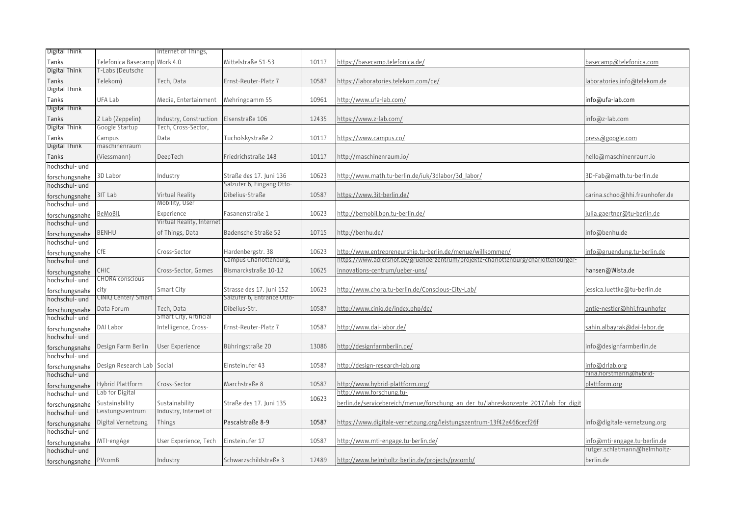| Digital Think                    |                            | nternet of Things,        |                                                      |       |                                                                                      |                                    |
|----------------------------------|----------------------------|---------------------------|------------------------------------------------------|-------|--------------------------------------------------------------------------------------|------------------------------------|
| Tanks                            | Telefonica Basecamp        | Work 4.0                  | Mittelstraße 51-53                                   | 10117 | https://basecamp.telefonica.de/                                                      | basecamp@telefonica.com            |
| Digital Think                    | T-Labs (Deutsche           |                           |                                                      |       |                                                                                      |                                    |
| Tanks                            | Telekom)                   | Tech, Data                | Ernst-Reuter-Platz 7                                 | 10587 | https://laboratories.telekom.com/de/                                                 | laboratories.info@telekom.de       |
| Digital Think                    |                            |                           |                                                      |       |                                                                                      |                                    |
| Tanks                            | UFA Lab                    | Media, Entertainment      | Mehringdamm 55                                       | 10961 | http://www.ufa-lab.com/                                                              | info@ufa-lab.com                   |
| Digital Think                    |                            |                           |                                                      |       |                                                                                      |                                    |
| Tanks                            | Z Lab (Zeppelin)           | Industry, Construction    | Elsenstraße 106                                      | 12435 | https://www.z-lab.com/                                                               | info@z-lab.com                     |
| Digital Think                    | Google Startup             | Tech, Cross-Sector,       |                                                      |       |                                                                                      |                                    |
| Tanks                            | Campus                     | Data                      | Tucholskystraße 2                                    | 10117 | https://www.campus.co/                                                               | press@google.com                   |
| Digital Think                    | maschinenraum              |                           |                                                      |       |                                                                                      |                                    |
| Tanks                            | (Viessmann)                | DeepTech                  | Friedrichstraße 148                                  | 10117 | http://maschinenraum.io/                                                             | hello@maschinenraum.io             |
| hochschul- und                   |                            |                           |                                                      |       |                                                                                      |                                    |
|                                  |                            |                           |                                                      | 10623 | http://www.math.tu-berlin.de/juk/3dlabor/3d labor/                                   |                                    |
| forschungsnahe                   | 3D Labor                   | Industry                  | Straße des 17. Juni 136<br>Salzuter 6, Eingang Otto- |       |                                                                                      | 3D-Fab@math.tu-berlin.de           |
| hochschul- und                   |                            |                           |                                                      |       |                                                                                      |                                    |
| forschungsnahe                   | 3IT Lab                    | Virtual Reality           | Dibelius-Straße                                      | 10587 | https://www.3it-berlin.de/                                                           | carina.schoo@hhi.fraunhofer.de     |
| hochschul- und                   |                            | Mobility, User            |                                                      |       |                                                                                      |                                    |
| forschungsnahe                   | <u>BeMoBIL</u>             | Experience                | Fasanenstraße 1                                      | 10623 | http://bemobil.bpn.tu-berlin.de/                                                     | julia.gaertner@tu-berlin.de        |
| hochschul- und                   |                            | Virtual Reality, Internet |                                                      |       |                                                                                      |                                    |
| forschungsnahe                   | BENHU                      | of Things, Data           | Badensche Straße 52                                  | 10715 | http://benhu.de/                                                                     | info@benhu.de                      |
| hochschul- und                   |                            |                           |                                                      |       |                                                                                      |                                    |
| forschungsnahe                   | CfE                        | Cross-Sector              | Hardenbergstr. 38                                    | 10623 | <u>http://www.entrepreneurship.tu-berlin.de/menue/willkommen/</u>                    | <u>info@gruendung.tu-berlin.de</u> |
| hochschul- und                   |                            |                           | Campus Charlottenburg,                               |       | -ittps://www.adlershof.de/gruenderzentrum/projekte-charlottenburg/charlottenburger   |                                    |
| forschungsnahe                   | CHIC                       | Cross-Sector, Games       | Bismarckstraße 10-12                                 | 10625 | innovations-centrum/ueber-uns/                                                       | hansen@Wista.de                    |
| hochschul- und                   | CHORA conscious            |                           |                                                      |       |                                                                                      |                                    |
| forschungsnahe                   | city                       | Smart City                | Strasse des 17. Juni 152                             | 10623 | http://www.chora.tu-berlin.de/Conscious-City-Lab/                                    | jessica.luettke@tu-berlin.de       |
| hochschul- und                   | CINIQ Center/ Smart        |                           | Salzuter 6, Entrance Otto-                           |       |                                                                                      |                                    |
| forschungsnahe                   | Data Forum                 | Tech, Data                | Dibelius-Str.                                        | 10587 | http://www.cinig.de/index.php/de/                                                    | antje-nestler@hhi.fraunhofer       |
| hochschul- und                   |                            | Smart City, Artificial    |                                                      |       |                                                                                      |                                    |
|                                  | DAI Labor                  | ntelligence, Cross-       | Ernst-Reuter-Platz 7                                 | 10587 | http://www.dai-labor.de/                                                             | sahin.albayrak@dai-labor.de        |
| forschungsnahe<br>hochschul- und |                            |                           |                                                      |       |                                                                                      |                                    |
|                                  | Design Farm Berlin         | User Experience           | Bühringstraße 20                                     | 13086 | http://designfarmberlin.de/                                                          | info@designfarmberlin.de           |
| forschungsnahe<br>hochschul- und |                            |                           |                                                      |       |                                                                                      |                                    |
|                                  |                            |                           | Einsteinufer 43                                      | 10587 | http://design-research-lab.org                                                       | info@drlab.org                     |
| forschungsnahe<br>hochschul- und | Design Research Lab Social |                           |                                                      |       |                                                                                      | nina.horstmann@hybrid-             |
|                                  |                            |                           |                                                      |       |                                                                                      |                                    |
| forschungsnahe                   | Hybrid Plattform           | Cross-Sector              | Marchstraße 8                                        | 10587 | http://www.hybrid-plattform.org/                                                     | plattform.org                      |
| hochschul- und                   | Lab for Digital            |                           |                                                      | 10623 | -ittp://www.forschung.tu                                                             |                                    |
| forschungsnahe                   | Sustainability             | Sustainability            | Straße des 17. Juni 135                              |       | berlin.de/servicebereich/menue/forschung an der tu/jahreskonzepte 2017/lab for digit |                                    |
| hochschul- und                   | eistungszentrum            | Industry, Internet of     |                                                      |       |                                                                                      |                                    |
| forschungsnahe                   | Digital Vernetzung         | Things                    | Pascalstraße 8-9                                     | 10587 | https://www.digitale-vernetzung.org/leistungszentrum-13f42a466cecf26f                | info@digitale-vernetzung.org       |
| hochschul- und                   |                            |                           |                                                      |       |                                                                                      |                                    |
| forschungsnahe                   | MTI-engAge                 | User Experience, Tech     | Einsteinufer 17                                      | 10587 | http://www.mti-engage.tu-berlin.de/                                                  | info@mti-engage.tu-berlin.de       |
| hochschul- und                   |                            |                           |                                                      |       |                                                                                      | rutger.schlatmann@helmholtz-       |
| forschungsnahe                   | PVcomB                     | Industry                  | Schwarzschildstraße 3                                | 12489 | http://www.helmholtz-berlin.de/projects/pvcomb/                                      | berlin.de                          |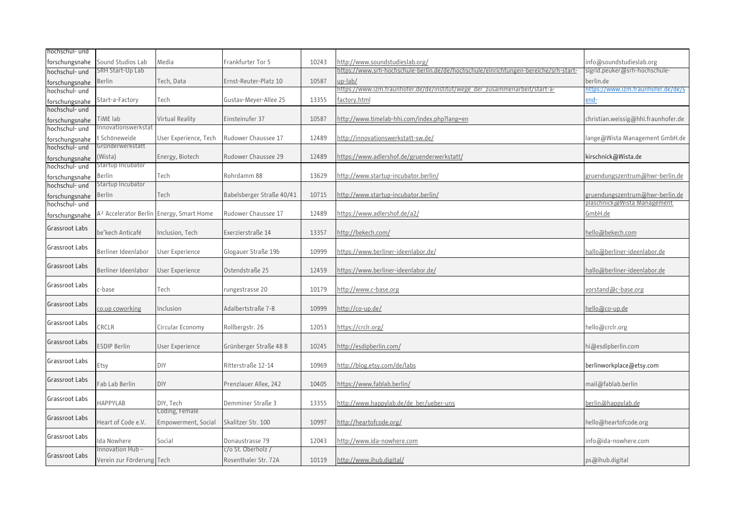| hochschul- und |                                   |                       |                           |       |                                                                                      |                                     |
|----------------|-----------------------------------|-----------------------|---------------------------|-------|--------------------------------------------------------------------------------------|-------------------------------------|
| forschungsnahe | Sound Studios Lab                 | Media                 | Frankfurter Tor 5         | 10243 | http://www.soundstudieslab.org/                                                      | info@soundstudieslab.org            |
| hochschul- und | SRH Start-Up Lab                  |                       |                           |       | https://www.srh-hochschule-berlin.de/de/hochschule/einrichtungen-bereiche/srh-start- | sigrid.peuker@srh-hochschule-       |
| forschungsnahe | Berlin                            | Tech, Data            | Ernst-Reuter-Platz 10     | 10587 | up-lab/                                                                              | berlin.de                           |
| hochschul- und |                                   |                       |                           |       | -https://www.izm.fraunhofer.de/de/institut/wege_der_zusammenarbeit/start-a           | https://www.izm.fraunhofer.de/de/s  |
| forschungsnahe | Start-a-Factory                   | Tech                  | Gustav-Meyer-Allee 25     | 13355 | factory.html                                                                         | end-                                |
| nochschul- und |                                   |                       |                           |       |                                                                                      |                                     |
| forschungsnahe | TiME lab                          | Virtual Reality       | Einsteinufer 37           | 10587 | http://www.timelab-hhi.com/index.php?lang=en                                         | christian.weissig@hhi.fraunhofer.de |
| hochschul- und | nnovationswerkstat                |                       |                           |       |                                                                                      |                                     |
| forschungsnahe | Schöneweide                       | User Experience, Tech | Rudower Chaussee 17       | 12489 | http://innovationswerkstatt-sw.de/                                                   | lange@Wista Management GmbH.de      |
| hochschul- und | Gründerwerkstatt                  |                       |                           |       |                                                                                      |                                     |
| forschungsnahe | (Wista)                           | Energy, Biotech       | Rudower Chaussee 29       | 12489 | https://www.adlershof.de/gruenderwerkstatt/                                          | kirschnick@Wista.de                 |
| hochschul- und | Startup Incubator                 |                       |                           |       |                                                                                      |                                     |
| forschungsnahe | Berlin                            | Tech                  | Rohrdamm 88               | 13629 | http://www.startup-incubator.berlin/                                                 | gruendungszentrum@hwr-berlin.de     |
| hochschul- und | Startup Incubator                 |                       |                           |       |                                                                                      |                                     |
| forschungsnahe | Berlin                            | Tech                  | Babelsberger Straße 40/41 | 10715 | http://www.startup-incubator.berlin/                                                 | gruendungszentrum@hwr-berlin.de     |
| hochschul- und |                                   |                       |                           |       |                                                                                      | plaschnick@Wista Management         |
| forschungsnahe | A <sup>2</sup> Accelerator Berlin | Energy, Smart Home    | Rudower Chaussee 17       | 12489 | https://www.adlershof.de/a2/                                                         | GmbH.de                             |
|                |                                   |                       |                           |       |                                                                                      |                                     |
| Grassroot Labs | be'kech Anticafé                  | Inclusion, Tech       | Exerzierstraße 14         | 13357 | http://bekech.com/                                                                   | hello@bekech.com                    |
|                |                                   |                       |                           |       |                                                                                      |                                     |
| Grassroot Labs | Berliner Ideenlabor               | User Experience       | Glogauer Straße 19b       | 10999 | https://www.berliner-ideenlabor.de/                                                  | hallo@berliner-ideenlabor.de        |
|                |                                   |                       |                           |       |                                                                                      |                                     |
| Grassroot Labs | Berliner Ideenlabor               | User Experience       | Ostendstraße 25           | 12459 | <u>https://www.berliner-ideenlabor.de/</u>                                           | <u>hallo@berliner-ideenlabor.de</u> |
|                |                                   |                       |                           |       |                                                                                      |                                     |
| Grassroot Labs | :-base                            | Tech                  | rungestrasse 20           | 10179 | http://www.c-base.org                                                                | vorstand@c-base.org                 |
|                |                                   |                       |                           |       |                                                                                      |                                     |
| Grassroot Labs | co.up coworking                   |                       | Adalbertstraße 7-8        | 10999 |                                                                                      |                                     |
|                |                                   | Inclusion             |                           |       | http://co-up.de/                                                                     | hello@co-up.de                      |
| Grassroot Labs |                                   |                       |                           |       |                                                                                      |                                     |
|                | CRCLR                             | Circular Economy      | Rollbergstr. 26           | 12053 | https://crclr.org/                                                                   | hello@crclr.org                     |
| Grassroot Labs |                                   |                       |                           |       |                                                                                      |                                     |
|                | <b>ESDIP Berlin</b>               | User Experience       | Grünberger Straße 48 B    | 10245 | http://esdipberlin.com/                                                              | hi@esdipberlin.com                  |
| Grassroot Labs |                                   |                       |                           |       |                                                                                      |                                     |
|                | Etsy                              | DIY                   | Ritterstraße 12-14        | 10969 | http://blog.etsy.com/de/labs                                                         | berlinworkplace@etsy.com            |
| Grassroot Labs |                                   |                       |                           |       |                                                                                      |                                     |
|                | ab Lab Berlin                     | DIY                   | Prenzlauer Allee, 242     | 10405 | https://www.fablab.berlin/                                                           | mail@fablab.berlin                  |
| Grassroot Labs |                                   |                       |                           |       |                                                                                      |                                     |
|                | HAPPYLAB                          | DIY, Tech             | Demminer Straße 3         | 13355 | http://www.happylab.de/de ber/ueber-uns                                              | berlin@happylab.de                  |
| Grassroot Labs |                                   | Coding, Female        |                           |       |                                                                                      |                                     |
|                | Heart of Code e.V.                | Empowerment, Social   | Skalitzer Str. 100        | 10997 | http://heartofcode.org/                                                              | hello@heartofcode.org               |
| Grassroot Labs |                                   |                       |                           |       |                                                                                      |                                     |
|                | Ida Nowhere                       | Social                | Donaustrasse 79           | 12043 | http://www.ida-nowhere.com                                                           | info@ida-nowhere.com                |
|                | nnovation Hub-                    |                       | c/o St. Oberholz /        |       |                                                                                      |                                     |
| Grassroot Labs | Verein zur Förderung Tech         |                       | Rosenthaler Str. 72A      | 10119 | http://www.ihub.digital/                                                             | ps@ihub.digital                     |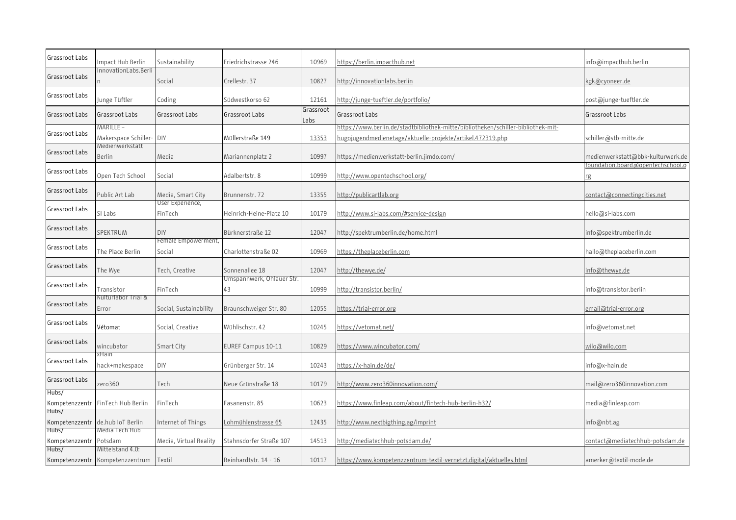| Grassroot Labs          | mpact Hub Berlin                                    | Sustainability                | Friedrichstrasse 246            | 10969             | https://berlin.impacthub.net                                                                                                                    | info@impacthub.berlin                  |
|-------------------------|-----------------------------------------------------|-------------------------------|---------------------------------|-------------------|-------------------------------------------------------------------------------------------------------------------------------------------------|----------------------------------------|
| Grassroot Labs          | InnovationLabs.Berli                                | Social                        | Crellestr. 37                   | 10827             | http://innovationlabs.berlin                                                                                                                    | kgk@cyoneer.de                         |
| Grassroot Labs          | Junge Tüftler                                       | Coding                        | Südwestkorso 62                 | 12161             | <u> http://junge-tueftler.de/portfolio/</u>                                                                                                     | post@junge-tueftler.de                 |
| Grassroot Labs          | Grassroot Labs                                      | Grassroot Labs                | Grassroot Labs                  | Grassroot<br>Labs | Grassroot Labs                                                                                                                                  | Grassroot Labs                         |
| Grassroot Labs          | MARILLE –<br>Makerspace Schiller-                   | DIY                           | Müllerstraße 149                | 13353             | -1ttps://www.berlin.de/stadtbibliothek-mitte/bibliotheken/schiller-bibliothek-mit<br>hugojugendmedienetage/aktuelle-projekte/artikel.472319.php | schiller@stb-mitte.de                  |
| Grassroot Labs          | Medienwerkstatt<br>Berlin                           | Media                         | Mariannenplatz 2                | 10997             | https://medienwerkstatt-berlin.jimdo.com/                                                                                                       | medienwerkstatt@bbk-kulturwerk.de      |
| Grassroot Labs          | Open Tech School                                    | Social                        | Adalbertstr, 8                  | 10999             | http://www.opentechschool.org/                                                                                                                  | oundation.board@opentechschool.o<br>rg |
| Grassroot Labs          | Public Art Lab                                      | Media, Smart City             | Brunnenstr. 72                  | 13355             | http://publicartlab.org                                                                                                                         | contact@connectingcities.net           |
| Grassroot Labs          | SI Labs                                             | User Experience,<br>FinTech   | Heinrich-Heine-Platz 10         | 10179             | http://www.si-labs.com/#service-design                                                                                                          | hello@si-labs.com                      |
| Grassroot Labs          | SPEKTRUM                                            | <b>DIY</b>                    | Bürknerstraße 12                | 12047             | http://spektrumberlin.de/home.html                                                                                                              | info@spektrumberlin.de                 |
| Grassroot Labs          | The Place Berlin                                    | Female Empowerment,<br>Social | Charlottenstraße 02             | 10969             | https://theplaceberlin.com                                                                                                                      | hallo@theplaceberlin.com               |
| Grassroot Labs          | The Wye                                             | Tech, Creative                | Sonnenallee 18                  | 12047             | http://thewye.de/                                                                                                                               | info@thewye.de                         |
| Grassroot Labs          | Transistor                                          | FinTech                       | Umspannwerk, Ohlauer Str.<br>43 | 10999             | http://transistor.berlin/                                                                                                                       | info@transistor.berlin                 |
| Grassroot Labs          | Kulturlabor Trial &<br>Error                        | Social, Sustainability        | Braunschweiger Str. 80          | 12055             | https://trial-error.org                                                                                                                         | email@trial-error.org                  |
| Grassroot Labs          | Vétomat                                             | Social, Creative              | Wühlischstr. 42                 | 10245             | https://vetomat.net/                                                                                                                            | info@vetomat.net                       |
| Grassroot Labs          | wincubator                                          | Smart City                    | EUREF Campus 10-11              | 10829             | https://www.wincubator.com/                                                                                                                     | wilo@wilo.com                          |
| Grassroot Labs          | kHain<br>hack+makespace                             | DIY                           | Grünberger Str. 14              | 10243             | https://x-hain.de/de/                                                                                                                           | info@x-hain.de                         |
| Grassroot Labs          | zero360                                             | Tech                          | Neue Grünstraße 18              | 10179             | http://www.zero360innovation.com/                                                                                                               | mail@zero360innovation.com             |
| Hubs/<br>Kompetenzzentr | FinTech Hub Berlin                                  | FinTech                       | Fasanenstr. 85                  | 10623             | https://www.finleap.com/about/fintech-hub-berlin-h32/                                                                                           | media@finleap.com                      |
| Hubs/                   | Kompetenzzentr de.hub IoT Berlin                    | Internet of Things            | <u>Lohmühlenstrasse 65</u>      | 12435             | <u>http://www.nextbigthing.ag/imprint</u>                                                                                                       | info@nbt.ag                            |
| Hubs/<br>Kompetenzzentr | Media Tech Hub<br>Potsdam                           | Media, Virtual Reality        | Stahnsdorfer Straße 107         | 14513             | http://mediatechhub-potsdam.de/                                                                                                                 | contact@mediatechhub-potsdam.de        |
| Hubs/                   | Mittelstand 4.0:<br>Kompetenzzentr Kompetenzzentrum | Textil                        | Reinhardtstr. 14 - 16           | 10117             | https://www.kompetenzzentrum-textil-vernetzt.digital/aktuelles.html                                                                             | amerker@textil-mode.de                 |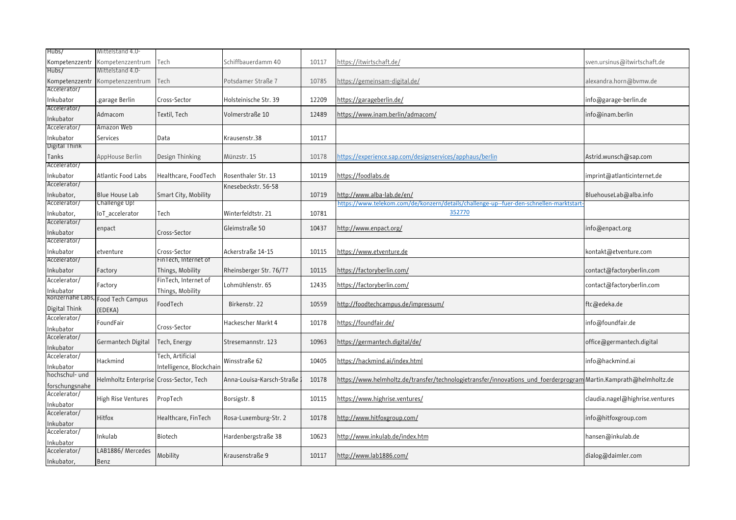| Hubs/                      | Mittelstand 4.0-                        |                          |                           |       |                                                                                                                   |                                 |
|----------------------------|-----------------------------------------|--------------------------|---------------------------|-------|-------------------------------------------------------------------------------------------------------------------|---------------------------------|
| Kompetenzzentr             | Kompetenzzentrum                        | Tech                     | Schiffbauerdamm 40        | 10117 | https://itwirtschaft.de/                                                                                          | sven.ursinus@itwirtschaft.de    |
| Hubs/                      | Mittelstand 4.0-                        |                          |                           |       |                                                                                                                   |                                 |
| Kompetenzzentr             | Kompetenzzentrum                        | Tech                     | Potsdamer Straße 7        | 10785 | https://gemeinsam-digital.de/                                                                                     | alexandra.horn@bvmw.de          |
| Accelerator/               |                                         |                          |                           |       |                                                                                                                   |                                 |
| nkubator                   | garage Berlin.                          | Cross-Sector             | Holsteinische Str. 39     | 12209 | https://garageberlin.de/                                                                                          | info@garage-berlin.de           |
| Accelerator/               |                                         |                          |                           |       |                                                                                                                   |                                 |
| nkubator                   | Admacom                                 | Textil, Tech             | Volmerstraße 10           | 12489 | https://www.inam.berlin/admacom/                                                                                  | info@inam.berlin                |
| Accelerator/               | Amazon Web                              |                          |                           |       |                                                                                                                   |                                 |
| Inkubator                  | Services                                | Data                     | Krausenstr.38             | 10117 |                                                                                                                   |                                 |
| <b>Digital Think</b>       |                                         |                          |                           |       |                                                                                                                   |                                 |
| Tanks                      | AppHouse Berlin                         | Design Thinking          | Münzstr. 15               | 10178 | https://experience.sap.com/designservices/apphaus/berlin                                                          | Astrid.wunsch@sap.com           |
| Accelerator/               |                                         |                          |                           |       |                                                                                                                   |                                 |
| nkubator                   | Atlantic Food Labs                      | Healthcare, FoodTech     | Rosenthaler Str. 13       | 10119 | https://foodlabs.de                                                                                               | imprint@atlanticinternet.de     |
| Accelerator/               |                                         |                          | Knesebeckstr. 56-58       |       |                                                                                                                   |                                 |
| nkubator,                  | <b>Blue House Lab</b>                   | Smart City, Mobility     |                           | 10719 | http://www.alba-lab.de/en/                                                                                        | BluehouseLab@alba.info          |
| Accelerator/               | Challenge Up!                           |                          |                           |       | https://www.telekom.com/de/konzern/details/challenge-up--fuer-den-schnellen-marktstart                            |                                 |
| Inkubator,                 | loT accelerator                         | Tech                     | Winterfeldtstr. 21        | 10781 | 352770                                                                                                            |                                 |
| Accelerator/               |                                         |                          |                           |       |                                                                                                                   |                                 |
| nkubator                   | enpact                                  | Cross-Sector             | Gleimstraße 50            | 10437 | http://www.enpact.org/                                                                                            | info@enpact.org                 |
| Accelerator/               |                                         |                          |                           |       |                                                                                                                   |                                 |
| Inkubator                  | etventure                               | Cross-Sector             | Ackerstraße 14-15         | 10115 | <u>https://www.etventure.de</u>                                                                                   | kontakt@etventure.com           |
| Accelerator/               |                                         | FinTech, Internet of     |                           |       |                                                                                                                   |                                 |
| nkubator                   | Factory                                 | Things, Mobility         | Rheinsberger Str. 76/77   | 10115 | https://factoryberlin.com/                                                                                        | contact@factoryberlin.com       |
| Accelerator/               |                                         | FinTech, Internet of     |                           |       |                                                                                                                   |                                 |
|                            | Factory                                 |                          | Lohmühlenstr. 65          | 12435 | https://factoryberlin.com/                                                                                        | contact@factoryberlin.com       |
| nkubator                   | konzernahe Labs, Food Tech Campus       | Things, Mobility         |                           |       |                                                                                                                   |                                 |
| Digital Think              |                                         | FoodTech                 | Birkenstr. 22             | 10559 | http://foodtechcampus.de/impressum/                                                                               | ftc@edeka.de                    |
| Accelerator/               | (EDEKA)                                 |                          |                           |       |                                                                                                                   |                                 |
|                            | FoundFair                               | Cross-Sector             | Hackescher Markt 4        | 10178 | https://foundfair.de/                                                                                             | info@foundfair.de               |
| nkubator<br>Accelerator/   |                                         |                          |                           |       |                                                                                                                   |                                 |
|                            | Germantech Digital                      | Tech, Energy             | Stresemannstr. 123        | 10963 | https://germantech.digital/de/                                                                                    | office@germantech.digital       |
| Inkubator<br>Accelerator/  |                                         | <b>Tech, Artificial</b>  |                           |       |                                                                                                                   |                                 |
|                            | Hackmind                                |                          | Winsstraße 62             | 10405 | https://hackmind.ai/index.html                                                                                    | info@hackmind.ai                |
| nkubator<br>hochschul- und |                                         | Intelligence, Blockchain |                           |       |                                                                                                                   |                                 |
|                            | Helmholtz Enterprise Cross-Sector, Tech |                          | Anna-Louisa-Karsch-Straße | 10178 | https://www.helmholtz.de/transfer/technologietransfer/innovations und foerderprogram Martin.Kamprath@helmholtz.de |                                 |
| forschungsnahe             |                                         |                          |                           |       |                                                                                                                   |                                 |
| Accelerator/               | High Rise Ventures                      | PropTech                 | Borsigstr. 8              | 10115 | https://www.highrise.ventures/                                                                                    | claudia.nagel@highrise.ventures |
| nkubator                   |                                         |                          |                           |       |                                                                                                                   |                                 |
| Accelerator/               | Hitfox                                  | Healthcare, FinTech      | Rosa-Luxemburg-Str. 2     | 10178 | http://www.hitfoxgroup.com/                                                                                       | info@hitfoxgroup.com            |
| nkubator                   |                                         |                          |                           |       |                                                                                                                   |                                 |
| Accelerator/               | Inkulab                                 | Biotech                  | Hardenbergstraße 38       | 10623 | http://www.inkulab.de/index.htm                                                                                   | hansen@inkulab.de               |
| Inkubator                  |                                         |                          |                           |       |                                                                                                                   |                                 |
| Accelerator/               | LAB1886/Mercedes                        | Mobility                 | Krausenstraße 9           | 10117 | http://www.lab1886.com/                                                                                           | dialog@daimler.com              |
| Inkubator,                 | Benz                                    |                          |                           |       |                                                                                                                   |                                 |